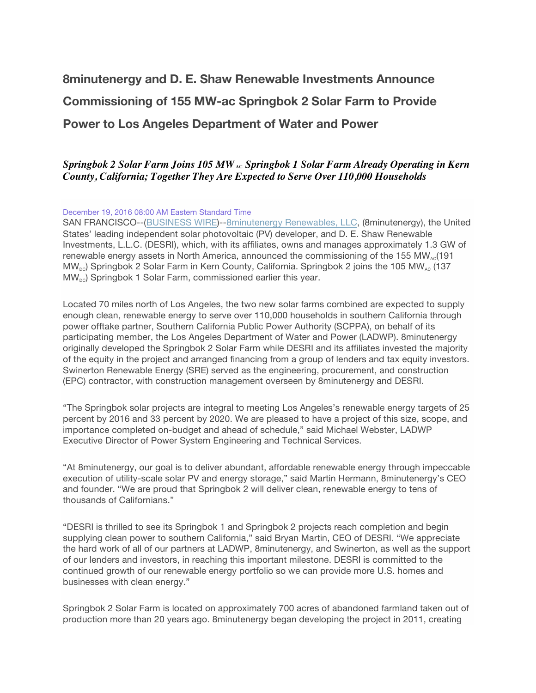# **8minutenergy and D. E. Shaw Renewable Investments Announce Commissioning of 155 MW-ac Springbok 2 Solar Farm to Provide Power to Los Angeles Department of Water and Power**

### *Springbok 2 Solar Farm Joins 105 MW*<sub>AC</sub> *Springbok 1 Solar Farm Already Operating in Kern County, California; Together They Are Expected to Serve Over 110,000 Households*

#### December 19, 2016 08:00 AM Eastern Standard Time

SAN FRANCISCO--(BUSINESS WIRE)--8minutenergy Renewables, LLC, (8minutenergy), the United States' leading independent solar photovoltaic (PV) developer, and D. E. Shaw Renewable Investments, L.L.C. (DESRI), which, with its affiliates, owns and manages approximately 1.3 GW of renewable energy assets in North America, announced the commissioning of the 155 MW<sub>AC</sub>(191  $MW_{\text{DC}}$ ) Springbok 2 Solar Farm in Kern County, California. Springbok 2 joins the 105 MW<sub>AC</sub> (137)  $MW_{\text{pc}}$ ) Springbok 1 Solar Farm, commissioned earlier this year.

Located 70 miles north of Los Angeles, the two new solar farms combined are expected to supply enough clean, renewable energy to serve over 110,000 households in southern California through power offtake partner, Southern California Public Power Authority (SCPPA), on behalf of its participating member, the Los Angeles Department of Water and Power (LADWP). 8minutenergy originally developed the Springbok 2 Solar Farm while DESRI and its affiliates invested the majority of the equity in the project and arranged financing from a group of lenders and tax equity investors. Swinerton Renewable Energy (SRE) served as the engineering, procurement, and construction (EPC) contractor, with construction management overseen by 8minutenergy and DESRI.

"The Springbok solar projects are integral to meeting Los Angeles's renewable energy targets of 25 percent by 2016 and 33 percent by 2020. We are pleased to have a project of this size, scope, and importance completed on-budget and ahead of schedule," said Michael Webster, LADWP Executive Director of Power System Engineering and Technical Services.

"At 8minutenergy, our goal is to deliver abundant, affordable renewable energy through impeccable execution of utility-scale solar PV and energy storage," said Martin Hermann, 8minutenergy's CEO and founder. "We are proud that Springbok 2 will deliver clean, renewable energy to tens of thousands of Californians."

"DESRI is thrilled to see its Springbok 1 and Springbok 2 projects reach completion and begin supplying clean power to southern California," said Bryan Martin, CEO of DESRI. "We appreciate the hard work of all of our partners at LADWP, 8minutenergy, and Swinerton, as well as the support of our lenders and investors, in reaching this important milestone. DESRI is committed to the continued growth of our renewable energy portfolio so we can provide more U.S. homes and businesses with clean energy."

Springbok 2 Solar Farm is located on approximately 700 acres of abandoned farmland taken out of production more than 20 years ago. 8minutenergy began developing the project in 2011, creating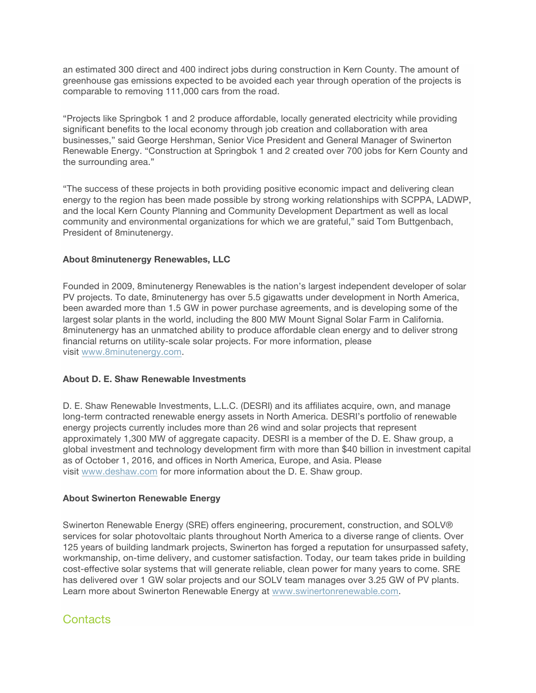an estimated 300 direct and 400 indirect jobs during construction in Kern County. The amount of greenhouse gas emissions expected to be avoided each year through operation of the projects is comparable to removing 111,000 cars from the road.

"Projects like Springbok 1 and 2 produce affordable, locally generated electricity while providing significant benefits to the local economy through job creation and collaboration with area businesses," said George Hershman, Senior Vice President and General Manager of Swinerton Renewable Energy. "Construction at Springbok 1 and 2 created over 700 jobs for Kern County and the surrounding area."

"The success of these projects in both providing positive economic impact and delivering clean energy to the region has been made possible by strong working relationships with SCPPA, LADWP, and the local Kern County Planning and Community Development Department as well as local community and environmental organizations for which we are grateful," said Tom Buttgenbach, President of 8minutenergy.

#### **About 8minutenergy Renewables, LLC**

Founded in 2009, 8minutenergy Renewables is the nation's largest independent developer of solar PV projects. To date, 8minutenergy has over 5.5 gigawatts under development in North America, been awarded more than 1.5 GW in power purchase agreements, and is developing some of the largest solar plants in the world, including the 800 MW Mount Signal Solar Farm in California. 8minutenergy has an unmatched ability to produce affordable clean energy and to deliver strong financial returns on utility-scale solar projects. For more information, please visit www.8minutenergy.com.

#### **About D. E. Shaw Renewable Investments**

D. E. Shaw Renewable Investments, L.L.C. (DESRI) and its affiliates acquire, own, and manage long-term contracted renewable energy assets in North America. DESRI's portfolio of renewable energy projects currently includes more than 26 wind and solar projects that represent approximately 1,300 MW of aggregate capacity. DESRI is a member of the D. E. Shaw group, a global investment and technology development firm with more than \$40 billion in investment capital as of October 1, 2016, and offices in North America, Europe, and Asia. Please visit www.deshaw.com for more information about the D. E. Shaw group.

#### **About Swinerton Renewable Energy**

Swinerton Renewable Energy (SRE) offers engineering, procurement, construction, and SOLV® services for solar photovoltaic plants throughout North America to a diverse range of clients. Over 125 years of building landmark projects, Swinerton has forged a reputation for unsurpassed safety, workmanship, on-time delivery, and customer satisfaction. Today, our team takes pride in building cost-effective solar systems that will generate reliable, clean power for many years to come. SRE has delivered over 1 GW solar projects and our SOLV team manages over 3.25 GW of PV plants. Learn more about Swinerton Renewable Energy at www.swinertonrenewable.com.

## Contacts